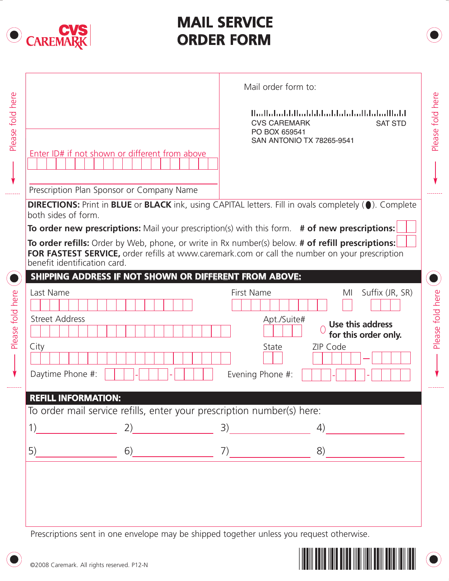

## **MAIL SERVICE ORDER FORM**

|                              | Enter ID# if not shown or different from above |                                                                                                                                                                                                     | المبالسانيا بالسلمانيا ببانيا بابانيا بالبانيات البيال<br><b>CVS CAREMARK</b><br>PO BOX 659541<br>SAN ANTONIO TX 78265-9541 | <b>SAT STD</b>       |
|------------------------------|------------------------------------------------|-----------------------------------------------------------------------------------------------------------------------------------------------------------------------------------------------------|-----------------------------------------------------------------------------------------------------------------------------|----------------------|
|                              | Prescription Plan Sponsor or Company Name      |                                                                                                                                                                                                     |                                                                                                                             |                      |
| both sides of form.          |                                                | DIRECTIONS: Print in BLUE or BLACK ink, using CAPITAL letters. Fill in ovals completely (0). Complete                                                                                               |                                                                                                                             |                      |
|                              |                                                | <b>To order new prescriptions:</b> Mail your prescription(s) with this form. # of new prescriptions:                                                                                                |                                                                                                                             |                      |
| benefit identification card. |                                                | To order refills: Order by Web, phone, or write in Rx number(s) below. # of refill prescriptions:<br>FOR FASTEST SERVICE, order refills at www.caremark.com or call the number on your prescription |                                                                                                                             |                      |
|                              |                                                | SHIPPING ADDRESS IF NOT SHOWN OR DIFFERENT FROM ABOVE:                                                                                                                                              |                                                                                                                             |                      |
| Last Name                    |                                                | First Name                                                                                                                                                                                          | MI                                                                                                                          | Suffix (JR, SR)      |
| <b>Street Address</b>        |                                                |                                                                                                                                                                                                     | Apt./Suite#<br>Use this address                                                                                             | for this order only. |
| City                         |                                                |                                                                                                                                                                                                     | State<br>ZIP Code                                                                                                           |                      |
| Daytime Phone #:             |                                                | Evening Phone #:                                                                                                                                                                                    |                                                                                                                             |                      |
| <b>REFILL INFORMATION:</b>   |                                                |                                                                                                                                                                                                     |                                                                                                                             |                      |
|                              |                                                | To order mail service refills, enter your prescription number(s) here:                                                                                                                              |                                                                                                                             |                      |
| 1)                           | 2)                                             |                                                                                                                                                                                                     | 4)                                                                                                                          |                      |
| 5)                           |                                                | $6)$ 7)                                                                                                                                                                                             | 8)                                                                                                                          |                      |
|                              |                                                |                                                                                                                                                                                                     |                                                                                                                             |                      |
|                              |                                                |                                                                                                                                                                                                     |                                                                                                                             |                      |



...